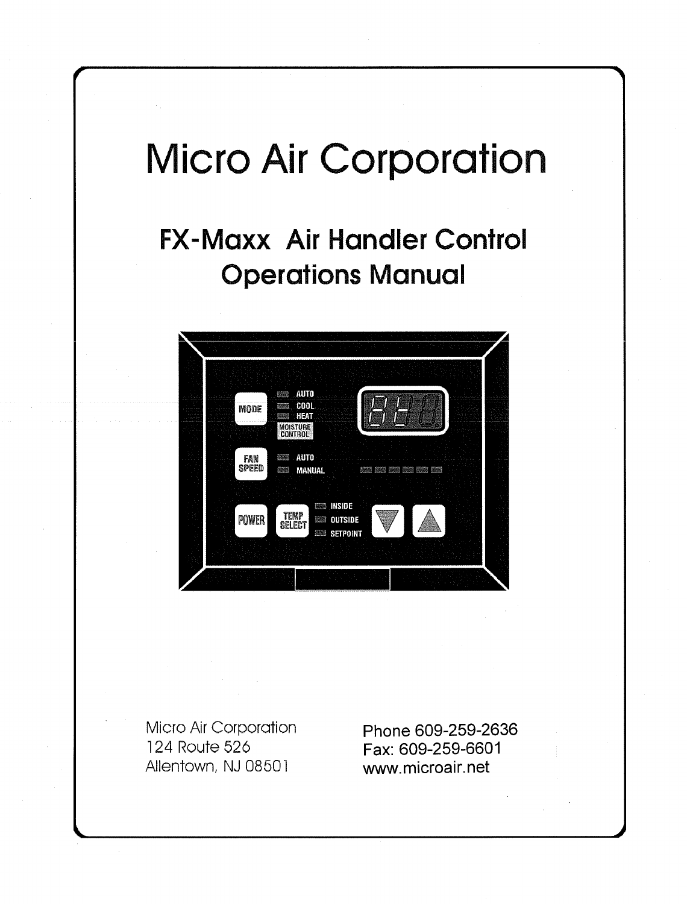# **Micro Air Corporation**

# **FX-Maxx Air Handler Control Operations Manual**



Micro Air Corporation 124 Route 526 Allentown, NJ 08501

Phone 609-259-2636 Fax: 609-259-6601 www.microair.net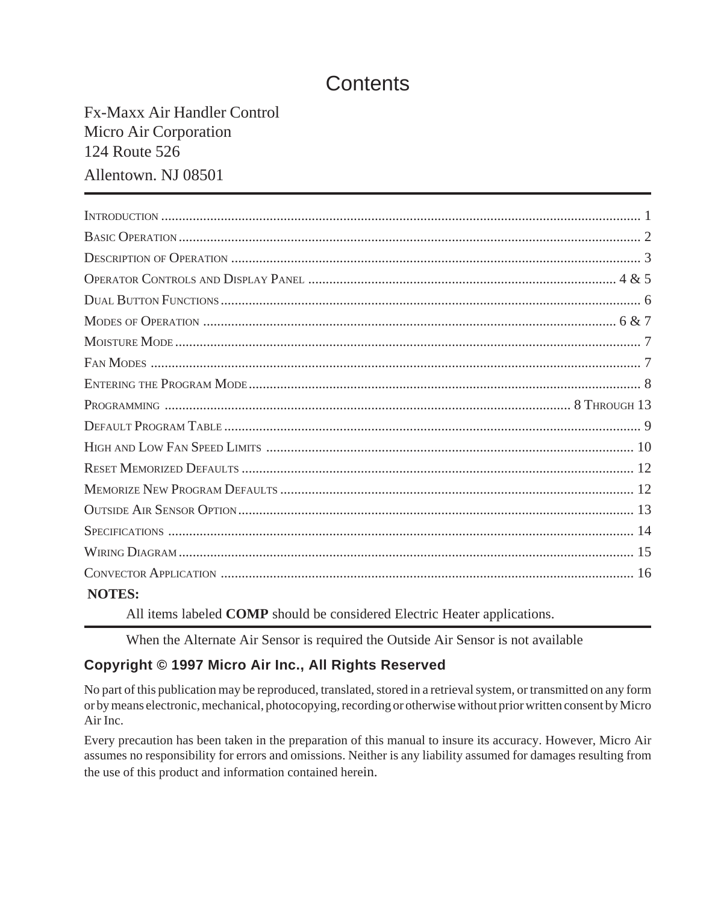# **Contents**

# Fx-Maxx Air Handler Control Micro Air Corporation 124 Route 526 Allentown. NJ 08501

| <b>NOTES:</b> |  |
|---------------|--|

All items labeled **COMP** should be considered Electric Heater applications.

When the Alternate Air Sensor is required the Outside Air Sensor is not available

#### **Copyright © 1997 Micro Air Inc., All Rights Reserved**

No part of this publication may be reproduced, translated, stored in a retrieval system, or transmitted on any form or by means electronic, mechanical, photocopying, recording or otherwise without prior written consent by Micro Air Inc.

Every precaution has been taken in the preparation of this manual to insure its accuracy. However, Micro Air assumes no responsibility for errors and omissions. Neither is any liability assumed for damages resulting from the use of this product and information contained herein.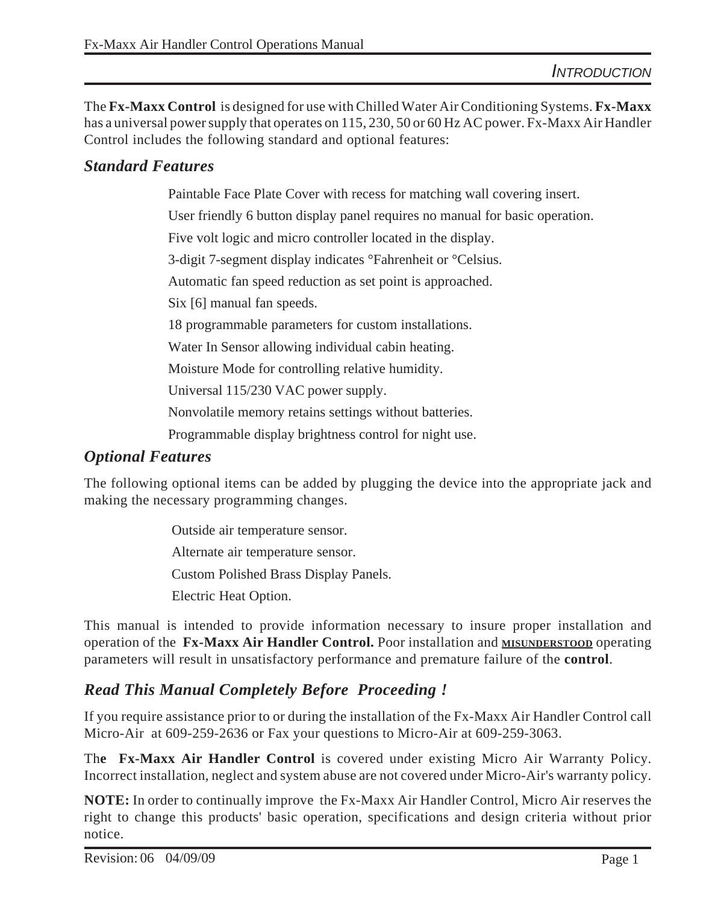The **Fx-Maxx Control** is designed for use with Chilled Water Air Conditioning Systems. **Fx-Maxx** has a universal power supply that operates on 115, 230, 50 or 60 Hz AC power. Fx-Maxx Air Handler Control includes the following standard and optional features:

#### *Standard Features*

Paintable Face Plate Cover with recess for matching wall covering insert.

User friendly 6 button display panel requires no manual for basic operation.

Five volt logic and micro controller located in the display.

3-digit 7-segment display indicates °Fahrenheit or °Celsius.

Automatic fan speed reduction as set point is approached.

Six [6] manual fan speeds.

18 programmable parameters for custom installations.

Water In Sensor allowing individual cabin heating.

Moisture Mode for controlling relative humidity.

Universal 115/230 VAC power supply.

Nonvolatile memory retains settings without batteries.

Programmable display brightness control for night use.

#### *Optional Features*

The following optional items can be added by plugging the device into the appropriate jack and making the necessary programming changes.

> Outside air temperature sensor. Alternate air temperature sensor. Custom Polished Brass Display Panels. Electric Heat Option.

This manual is intended to provide information necessary to insure proper installation and operation of the **Fx-Maxx Air Handler Control.** Poor installation and **MISUNDERSTOOD** operating parameters will result in unsatisfactory performance and premature failure of the **control**.

# *Read This Manual Completely Before Proceeding !*

If you require assistance prior to or during the installation of the Fx-Maxx Air Handler Control call Micro-Air at 609-259-2636 or Fax your questions to Micro-Air at 609-259-3063.

Th**e Fx-Maxx Air Handler Control** is covered under existing Micro Air Warranty Policy. Incorrect installation, neglect and system abuse are not covered under Micro-Air's warranty policy.

**NOTE:** In order to continually improve the Fx-Maxx Air Handler Control, Micro Air reserves the right to change this products' basic operation, specifications and design criteria without prior notice.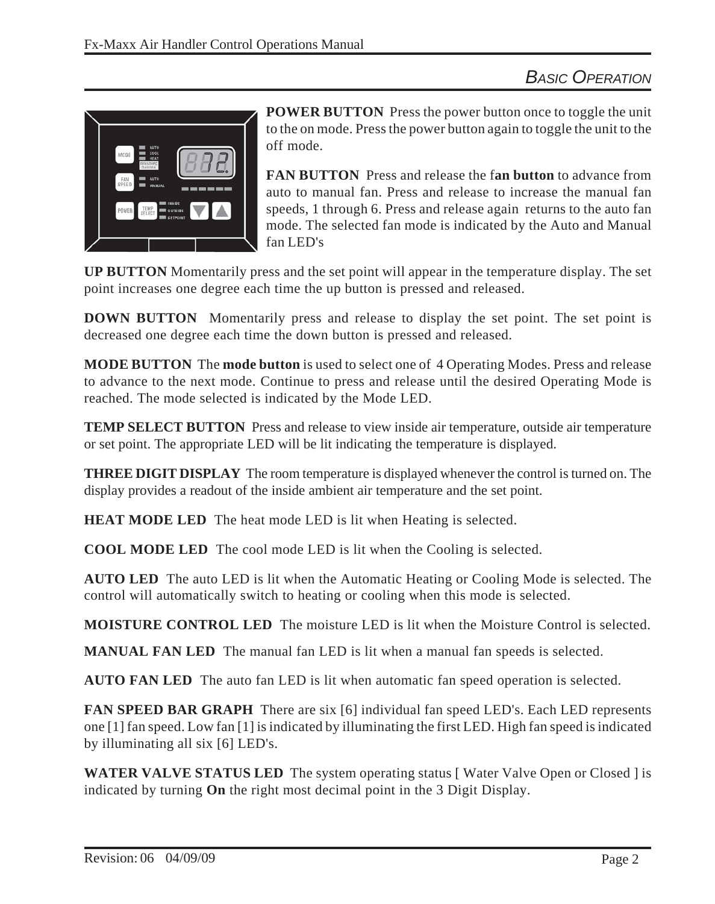

**POWER BUTTON** Press the power button once to toggle the unit to the on mode. Press the power button again to toggle the unit to the off mode.

**FAN BUTTON** Press and release the f**an button** to advance from auto to manual fan. Press and release to increase the manual fan speeds, 1 through 6. Press and release again returns to the auto fan mode. The selected fan mode is indicated by the Auto and Manual fan LED's

**UP BUTTON** Momentarily press and the set point will appear in the temperature display. The set point increases one degree each time the up button is pressed and released.

**DOWN BUTTON** Momentarily press and release to display the set point. The set point is decreased one degree each time the down button is pressed and released.

**MODE BUTTON** The **mode button** is used to select one of 4 Operating Modes. Press and release to advance to the next mode. Continue to press and release until the desired Operating Mode is reached. The mode selected is indicated by the Mode LED.

**TEMP SELECT BUTTON** Press and release to view inside air temperature, outside air temperature or set point. The appropriate LED will be lit indicating the temperature is displayed.

**THREE DIGIT DISPLAY** The room temperature is displayed whenever the control is turned on. The display provides a readout of the inside ambient air temperature and the set point.

**HEAT MODE LED** The heat mode LED is lit when Heating is selected.

**COOL MODE LED** The cool mode LED is lit when the Cooling is selected.

**AUTO LED** The auto LED is lit when the Automatic Heating or Cooling Mode is selected. The control will automatically switch to heating or cooling when this mode is selected.

**MOISTURE CONTROL LED** The moisture LED is lit when the Moisture Control is selected.

**MANUAL FAN LED** The manual fan LED is lit when a manual fan speeds is selected.

**AUTO FAN LED** The auto fan LED is lit when automatic fan speed operation is selected.

**FAN SPEED BAR GRAPH** There are six [6] individual fan speed LED's. Each LED represents one [1] fan speed. Low fan [1] is indicated by illuminating the first LED. High fan speed is indicated by illuminating all six [6] LED's.

**WATER VALVE STATUS LED** The system operating status [ Water Valve Open or Closed ] is indicated by turning **On** the right most decimal point in the 3 Digit Display.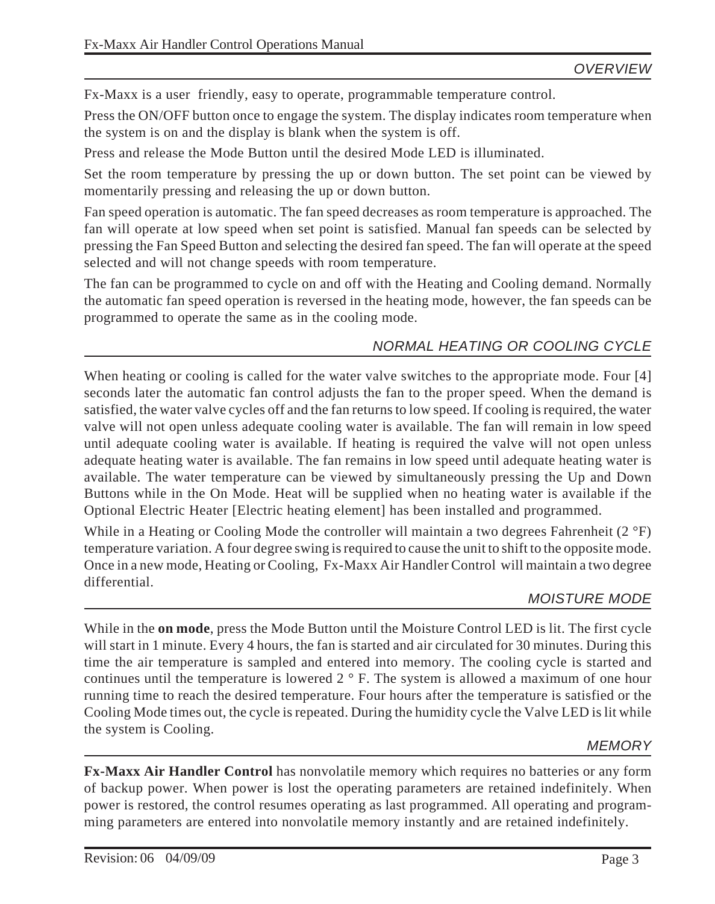Fx-Maxx is a user friendly, easy to operate, programmable temperature control.

Press the ON/OFF button once to engage the system. The display indicates room temperature when the system is on and the display is blank when the system is off.

Press and release the Mode Button until the desired Mode LED is illuminated.

Set the room temperature by pressing the up or down button. The set point can be viewed by momentarily pressing and releasing the up or down button.

Fan speed operation is automatic. The fan speed decreases as room temperature is approached. The fan will operate at low speed when set point is satisfied. Manual fan speeds can be selected by pressing the Fan Speed Button and selecting the desired fan speed. The fan will operate at the speed selected and will not change speeds with room temperature.

The fan can be programmed to cycle on and off with the Heating and Cooling demand. Normally the automatic fan speed operation is reversed in the heating mode, however, the fan speeds can be programmed to operate the same as in the cooling mode.

#### *NORMAL HEATING OR COOLING CYCLE*

When heating or cooling is called for the water valve switches to the appropriate mode. Four [4] seconds later the automatic fan control adjusts the fan to the proper speed. When the demand is satisfied, the water valve cycles off and the fan returns to low speed. If cooling is required, the water valve will not open unless adequate cooling water is available. The fan will remain in low speed until adequate cooling water is available. If heating is required the valve will not open unless adequate heating water is available. The fan remains in low speed until adequate heating water is available. The water temperature can be viewed by simultaneously pressing the Up and Down Buttons while in the On Mode. Heat will be supplied when no heating water is available if the Optional Electric Heater [Electric heating element] has been installed and programmed.

While in a Heating or Cooling Mode the controller will maintain a two degrees Fahrenheit (2 °F) temperature variation. A four degree swing is required to cause the unit to shift to the opposite mode. Once in a new mode, Heating or Cooling, Fx-Maxx Air Handler Control will maintain a two degree differential.

#### *MOISTURE MODE*

While in the **on mode**, press the Mode Button until the Moisture Control LED is lit. The first cycle will start in 1 minute. Every 4 hours, the fan is started and air circulated for 30 minutes. During this time the air temperature is sampled and entered into memory. The cooling cycle is started and continues until the temperature is lowered 2 ° F. The system is allowed a maximum of one hour running time to reach the desired temperature. Four hours after the temperature is satisfied or the Cooling Mode times out, the cycle is repeated. During the humidity cycle the Valve LED is lit while the system is Cooling.

#### *MEMORY*

**Fx-Maxx Air Handler Control** has nonvolatile memory which requires no batteries or any form of backup power. When power is lost the operating parameters are retained indefinitely. When power is restored, the control resumes operating as last programmed. All operating and programming parameters are entered into nonvolatile memory instantly and are retained indefinitely.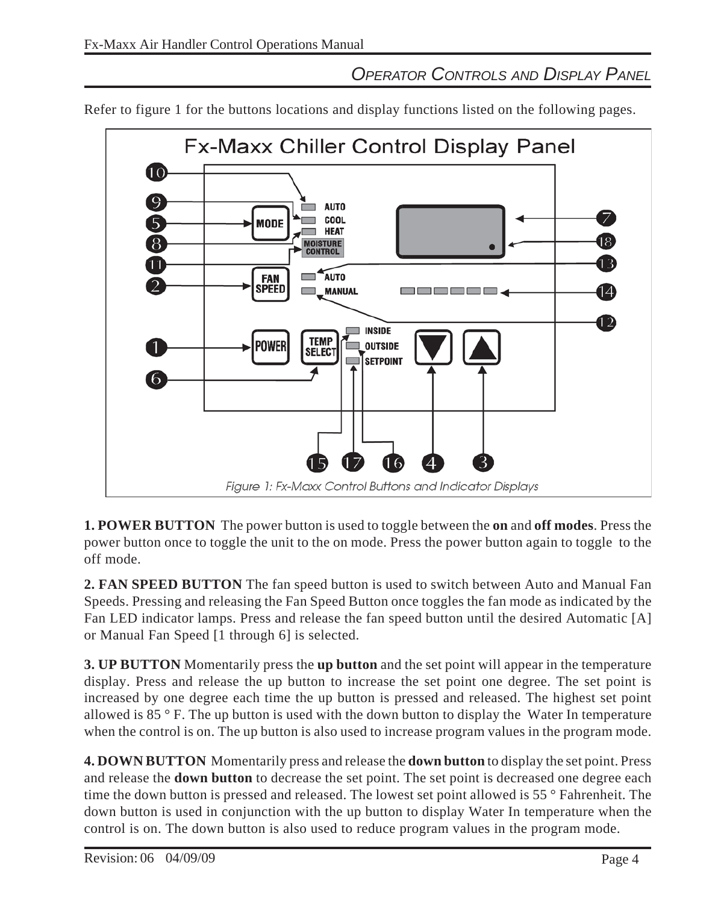# *OPERATOR CONTROLS AND DISPLAY PANEL*

**Fx-Maxx Chiller Control Display Panel** 10  $\overline{Q}$ **AUTO** COOL 5 **MODE HEAT**  $\overline{8}$ **MOISTURE**<br>CONTROL 18. AUTO **FAN** SPEED \_MANUAL 14 <u>is de la company de la compa</u> 12 **INSIDE TEMP OUTSIDE** Power **SELECT**  $\blacksquare$ SETPOINT  $\sqrt{6}$ Figure 1: Fx-Maxx Control Buttons and Indicator Displays

Refer to figure 1 for the buttons locations and display functions listed on the following pages.

**1. POWER BUTTON** The power button is used to toggle between the **on** and **off modes**. Press the power button once to toggle the unit to the on mode. Press the power button again to toggle to the off mode.

**2. FAN SPEED BUTTON** The fan speed button is used to switch between Auto and Manual Fan Speeds. Pressing and releasing the Fan Speed Button once toggles the fan mode as indicated by the Fan LED indicator lamps. Press and release the fan speed button until the desired Automatic [A] or Manual Fan Speed [1 through 6] is selected.

**3. UP BUTTON** Momentarily press the **up button** and the set point will appear in the temperature display. Press and release the up button to increase the set point one degree. The set point is increased by one degree each time the up button is pressed and released. The highest set point allowed is  $85^\circ$  F. The up button is used with the down button to display the Water In temperature when the control is on. The up button is also used to increase program values in the program mode.

**4. DOWN BUTTON** Momentarily press and release the **down button** to display the set point. Press and release the **down button** to decrease the set point. The set point is decreased one degree each time the down button is pressed and released. The lowest set point allowed is 55 ° Fahrenheit. The down button is used in conjunction with the up button to display Water In temperature when the control is on. The down button is also used to reduce program values in the program mode.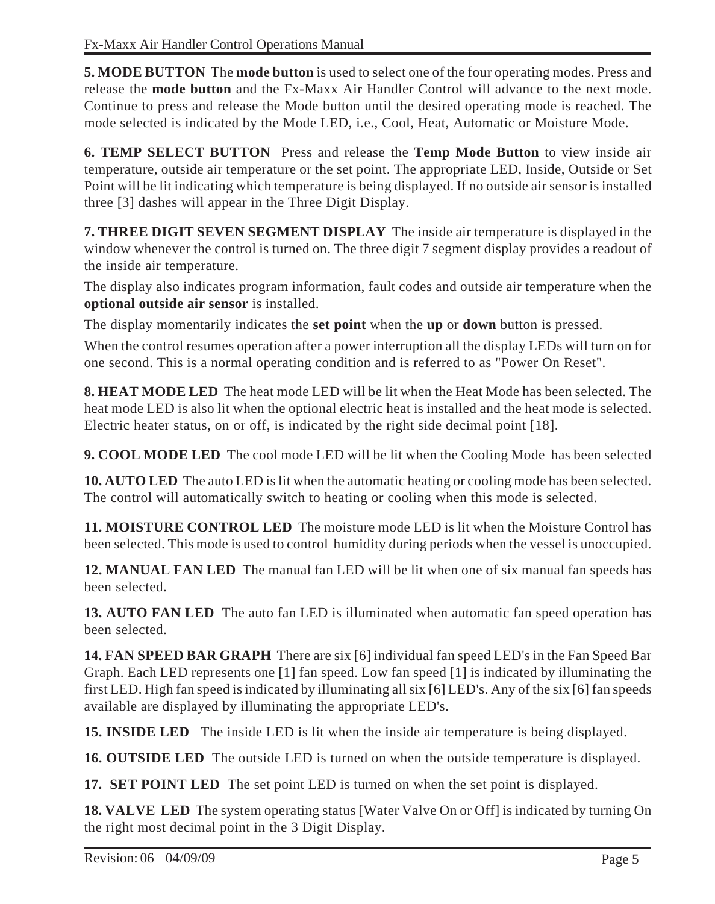**5. MODE BUTTON** The **mode button** is used to select one of the four operating modes. Press and release the **mode button** and the Fx-Maxx Air Handler Control will advance to the next mode. Continue to press and release the Mode button until the desired operating mode is reached. The mode selected is indicated by the Mode LED, i.e., Cool, Heat, Automatic or Moisture Mode.

**6. TEMP SELECT BUTTON** Press and release the **Temp Mode Button** to view inside air temperature, outside air temperature or the set point. The appropriate LED, Inside, Outside or Set Point will be lit indicating which temperature is being displayed. If no outside air sensor is installed three [3] dashes will appear in the Three Digit Display.

**7. THREE DIGIT SEVEN SEGMENT DISPLAY** The inside air temperature is displayed in the window whenever the control is turned on. The three digit 7 segment display provides a readout of the inside air temperature.

The display also indicates program information, fault codes and outside air temperature when the **optional outside air sensor** is installed.

The display momentarily indicates the **set point** when the **up** or **down** button is pressed.

When the control resumes operation after a power interruption all the display LEDs will turn on for one second. This is a normal operating condition and is referred to as "Power On Reset".

**8. HEAT MODE LED** The heat mode LED will be lit when the Heat Mode has been selected. The heat mode LED is also lit when the optional electric heat is installed and the heat mode is selected. Electric heater status, on or off, is indicated by the right side decimal point [18].

**9. COOL MODE LED** The cool mode LED will be lit when the Cooling Mode has been selected

**10. AUTO LED** The auto LED is lit when the automatic heating or cooling mode has been selected. The control will automatically switch to heating or cooling when this mode is selected.

**11. MOISTURE CONTROL LED** The moisture mode LED is lit when the Moisture Control has been selected. This mode is used to control humidity during periods when the vessel is unoccupied.

**12. MANUAL FAN LED** The manual fan LED will be lit when one of six manual fan speeds has been selected.

**13. AUTO FAN LED** The auto fan LED is illuminated when automatic fan speed operation has been selected.

**14. FAN SPEED BAR GRAPH** There are six [6] individual fan speed LED's in the Fan Speed Bar Graph. Each LED represents one [1] fan speed. Low fan speed [1] is indicated by illuminating the first LED. High fan speed is indicated by illuminating all six [6] LED's. Any of the six [6] fan speeds available are displayed by illuminating the appropriate LED's.

**15. INSIDE LED** The inside LED is lit when the inside air temperature is being displayed.

**16. OUTSIDE LED** The outside LED is turned on when the outside temperature is displayed.

**17. SET POINT LED** The set point LED is turned on when the set point is displayed.

**18. VALVE LED** The system operating status [Water Valve On or Off] is indicated by turning On the right most decimal point in the 3 Digit Display.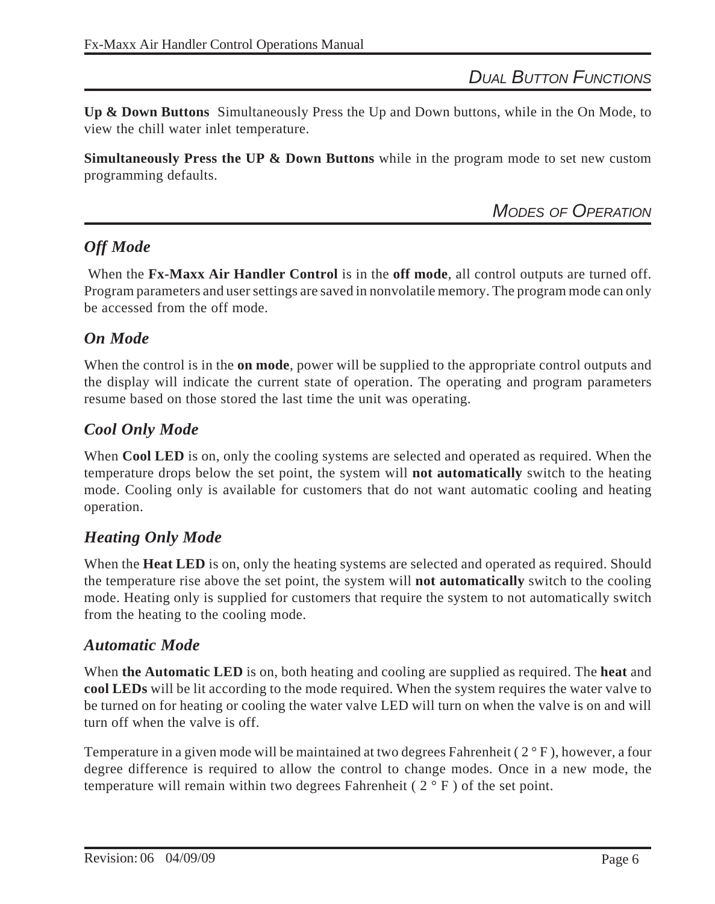*DUAL BUTTON FUNCTIONS*

**Up & Down Buttons** Simultaneously Press the Up and Down buttons, while in the On Mode, to view the chill water inlet temperature.

**Simultaneously Press the UP & Down Buttons** while in the program mode to set new custom programming defaults.

*MODES OF OPERATION*

# *Off Mode*

 When the **Fx-Maxx Air Handler Control** is in the **off mode**, all control outputs are turned off. Program parameters and user settings are saved in nonvolatile memory. The program mode can only be accessed from the off mode.

#### *On Mode*

When the control is in the **on mode**, power will be supplied to the appropriate control outputs and the display will indicate the current state of operation. The operating and program parameters resume based on those stored the last time the unit was operating.

#### *Cool Only Mode*

When **Cool LED** is on, only the cooling systems are selected and operated as required. When the temperature drops below the set point, the system will **not automatically** switch to the heating mode. Cooling only is available for customers that do not want automatic cooling and heating operation.

#### *Heating Only Mode*

When the **Heat LED** is on, only the heating systems are selected and operated as required. Should the temperature rise above the set point, the system will **not automatically** switch to the cooling mode. Heating only is supplied for customers that require the system to not automatically switch from the heating to the cooling mode.

#### *Automatic Mode*

When **the Automatic LED** is on, both heating and cooling are supplied as required. The **heat** and **cool LEDs** will be lit according to the mode required. When the system requires the water valve to be turned on for heating or cooling the water valve LED will turn on when the valve is on and will turn off when the valve is off.

Temperature in a given mode will be maintained at two degrees Fahrenheit  $(2^{\circ}F)$ , however, a four degree difference is required to allow the control to change modes. Once in a new mode, the temperature will remain within two degrees Fahrenheit ( $2°$  F) of the set point.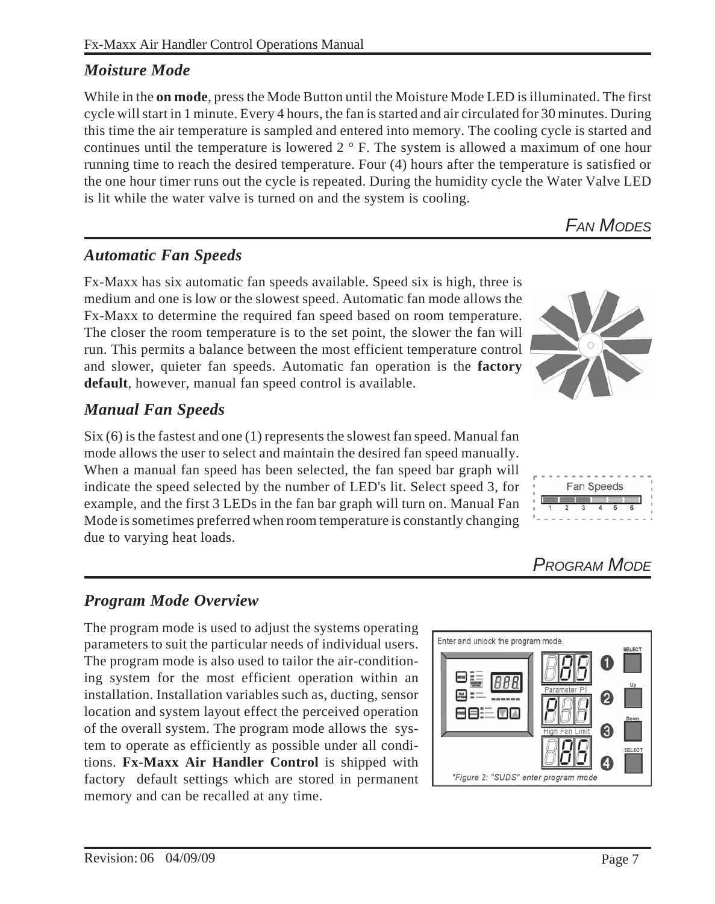#### Fx-Maxx Air Handler Control Operations Manual

# *Moisture Mode*

While in the **on mode**, press the Mode Button until the Moisture Mode LED is illuminated. The first cycle will start in 1 minute. Every 4 hours, the fan is started and air circulated for 30 minutes. During this time the air temperature is sampled and entered into memory. The cooling cycle is started and continues until the temperature is lowered 2 ° F. The system is allowed a maximum of one hour running time to reach the desired temperature. Four (4) hours after the temperature is satisfied or the one hour timer runs out the cycle is repeated. During the humidity cycle the Water Valve LED is lit while the water valve is turned on and the system is cooling.

*FAN MODES*

# *Automatic Fan Speeds*

Fx-Maxx has six automatic fan speeds available. Speed six is high, three is medium and one is low or the slowest speed. Automatic fan mode allows the Fx-Maxx to determine the required fan speed based on room temperature. The closer the room temperature is to the set point, the slower the fan will run. This permits a balance between the most efficient temperature control and slower, quieter fan speeds. Automatic fan operation is the **factory default**, however, manual fan speed control is available.

# *Manual Fan Speeds*

Six (6) is the fastest and one (1) represents the slowest fan speed. Manual fan mode allows the user to select and maintain the desired fan speed manually. When a manual fan speed has been selected, the fan speed bar graph will indicate the speed selected by the number of LED's lit. Select speed 3, for example, and the first 3 LEDs in the fan bar graph will turn on. Manual Fan Mode is sometimes preferred when room temperature is constantly changing due to varying heat loads.

#### *Program Mode Overview*

The program mode is used to adjust the systems operating parameters to suit the particular needs of individual users. The program mode is also used to tailor the air-conditioning system for the most efficient operation within an installation. Installation variables such as, ducting, sensor location and system layout effect the perceived operation of the overall system. The program mode allows the system to operate as efficiently as possible under all conditions. **Fx-Maxx Air Handler Control** is shipped with factory default settings which are stored in permanent memory and can be recalled at any time.







*PROGRAM MODE*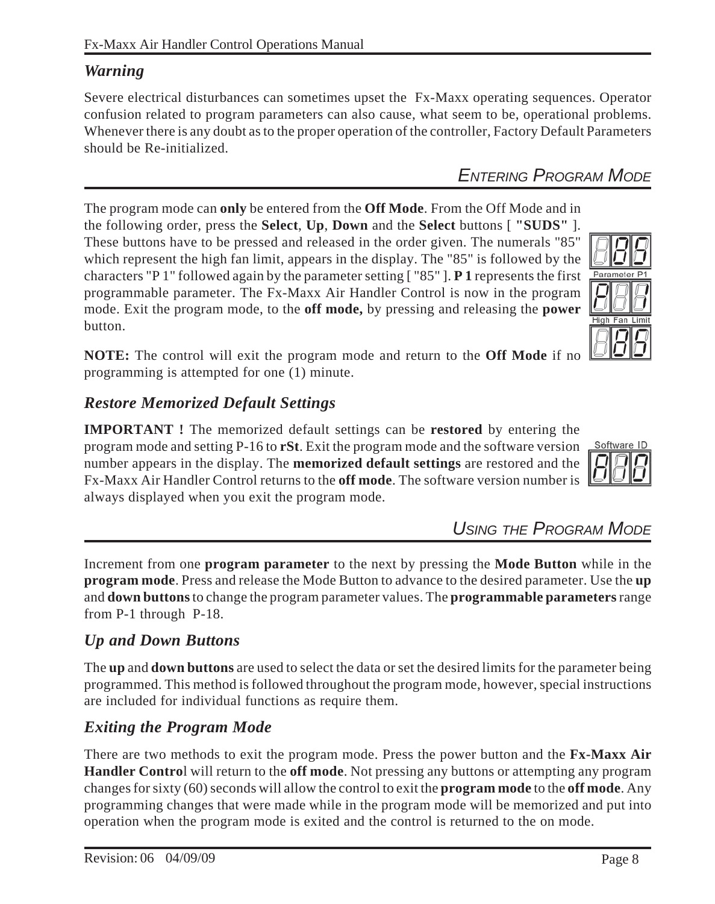the following order, press the **Select**, **Up**, **Down** and the **Select** buttons [ **"SUDS"** ]. These buttons have to be pressed and released in the order given. The numerals "85" which represent the high fan limit, appears in the display. The "85" is followed by the characters "P 1" followed again by the parameter setting [ "85" ]. **P 1** represents the first programmable parameter. The Fx-Maxx Air Handler Control is now in the program mode. Exit the program mode, to the **off mode,** by pressing and releasing the **power** button.

The program mode can **only** be entered from the **Off Mode**. From the Off Mode and in

**NOTE:** The control will exit the program mode and return to the **Off Mode** if no programming is attempted for one (1) minute.

#### *Restore Memorized Default Settings*

**IMPORTANT !** The memorized default settings can be **restored** by entering the program mode and setting P-16 to **rSt**. Exit the program mode and the software version number appears in the display. The **memorized default settings** are restored and the Fx-Maxx Air Handler Control returns to the **off mode**. The software version number is always displayed when you exit the program mode.

*USING THE PROGRAM MODE*

Increment from one **program parameter** to the next by pressing the **Mode Button** while in the **program mode**. Press and release the Mode Button to advance to the desired parameter. Use the **up** and **down buttons** to change the program parameter values. The **programmable parameters** range from P-1 through P-18.

#### *Up and Down Buttons*

The **up** and **down buttons** are used to select the data or set the desired limits for the parameter being programmed. This method is followed throughout the program mode, however, special instructions are included for individual functions as require them.

#### *Exiting the Program Mode*

There are two methods to exit the program mode. Press the power button and the **Fx-Maxx Air Handler Contro**l will return to the **off mode**. Not pressing any buttons or attempting any program changes for sixty (60) seconds will allow the control to exit the **program mode** to the **off mode**. Any programming changes that were made while in the program mode will be memorized and put into operation when the program mode is exited and the control is returned to the on mode.

#### *Warning*

Severe electrical disturbances can sometimes upset the Fx-Maxx operating sequences. Operator confusion related to program parameters can also cause, what seem to be, operational problems. Whenever there is any doubt as to the proper operation of the controller, Factory Default Parameters should be Re-initialized.

# *ENTERING PROGRAM MODE*



Parameter P1

**High Fan Limit**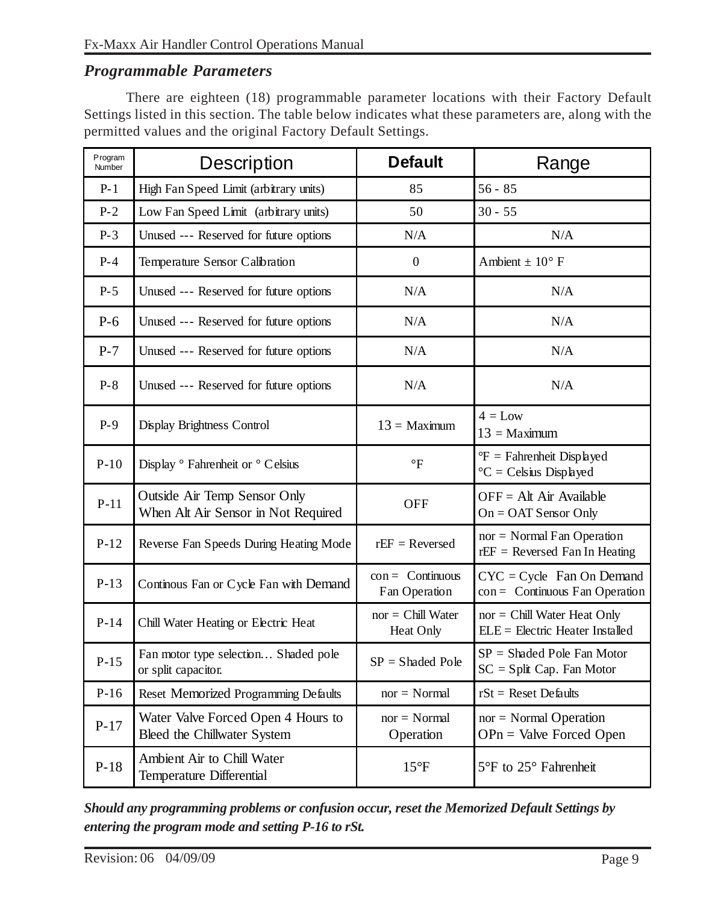#### *Programmable Parameters*

There are eighteen (18) programmable parameter locations with their Factory Default Settings listed in this section. The table below indicates what these parameters are, along with the permitted values and the original Factory Default Settings.

| Program<br>Number | <b>Description</b>                                                  | <b>Default</b>                      | Range                                                                      |  |
|-------------------|---------------------------------------------------------------------|-------------------------------------|----------------------------------------------------------------------------|--|
| $P-1$             | High Fan Speed Limit (arbitrary units)                              | 85                                  | $56 - 85$                                                                  |  |
| $P-2$             | Low Fan Speed Limit (arbitrary units)                               | 50                                  | $30 - 55$                                                                  |  |
| $P-3$             | Unused --- Reserved for future options                              | N/A                                 | N/A                                                                        |  |
| $P-4$             | Temperature Sensor Calibration                                      | $\boldsymbol{0}$                    | Ambient $\pm$ 10° F                                                        |  |
| $P-5$             | Unused --- Reserved for future options                              | N/A                                 | N/A                                                                        |  |
| $P-6$             | Unused --- Reserved for future options                              | N/A                                 | N/A                                                                        |  |
| $P-7$             | Unused --- Reserved for future options                              | N/A                                 | N/A                                                                        |  |
| $P-8$             | Unused --- Reserved for future options                              | N/A                                 | N/A                                                                        |  |
| $P-9$             | Display Brightness Control                                          | $13 =$ Maximum                      | $4 = Low$<br>$13 =$ Maximum                                                |  |
| $P-10$            | Display <sup>o</sup> Fahrenheit or <sup>o</sup> Celsius             | $\mathrm{P}$                        | ${}^{\circ}F$ = Fahrenheit Displayed<br>${}^{\circ}C = C$ elsius Displayed |  |
| $P-11$            | Outside Air Temp Sensor Only<br>When Alt Air Sensor in Not Required | <b>OFF</b>                          | $OFF = Alt Air Available$<br>$On = OAT$ Sensor Only                        |  |
| $P-12$            | Reverse Fan Speeds During Heating Mode                              | $rEF = Reverse$                     | $nor = Normal Fan Operation$<br>$rEF = Reversed$ Fan In Heating            |  |
| $P-13$            | Continous Fan or Cycle Fan with Demand                              | $con =$ Continuous<br>Fan Operation | $CYC = Cycle$ Fan On Demand<br>$con =$ Continuous Fan Operation            |  |
| $P-14$            | Chill Water Heating or Electric Heat                                | $nor = Chill Water$<br>Heat Only    | $nor = Chill Water Heat Only$<br>ELE = Electric Heater Installed           |  |
| $P-15$            | Fan motor type selection Shaded pole<br>or split capacitor.         | $SP = Shaded Pole$                  | $SP = Shaded Pole Fan Motor$<br>$SC = Split Cap. Fan Motor$                |  |
| $P-16$            | Reset Memorized Programming Defaults                                | $nor = Normal$                      | $rSt =$ Reset Defaults                                                     |  |
| $P-17$            | Water Valve Forced Open 4 Hours to<br>Bleed the Chillwater System   | $nor = Normal$<br>Operation         | $nor = Normal Operation$<br>$OPn =$ Valve Forced Open                      |  |
| $P-18$            | Ambient Air to Chill Water<br>Temperature Differential              | $15^{\circ}F$                       | 5°F to 25° Fahrenheit                                                      |  |

*Should any programming problems or confusion occur, reset the Memorized Default Settings by entering the program mode and setting P-16 to rSt.*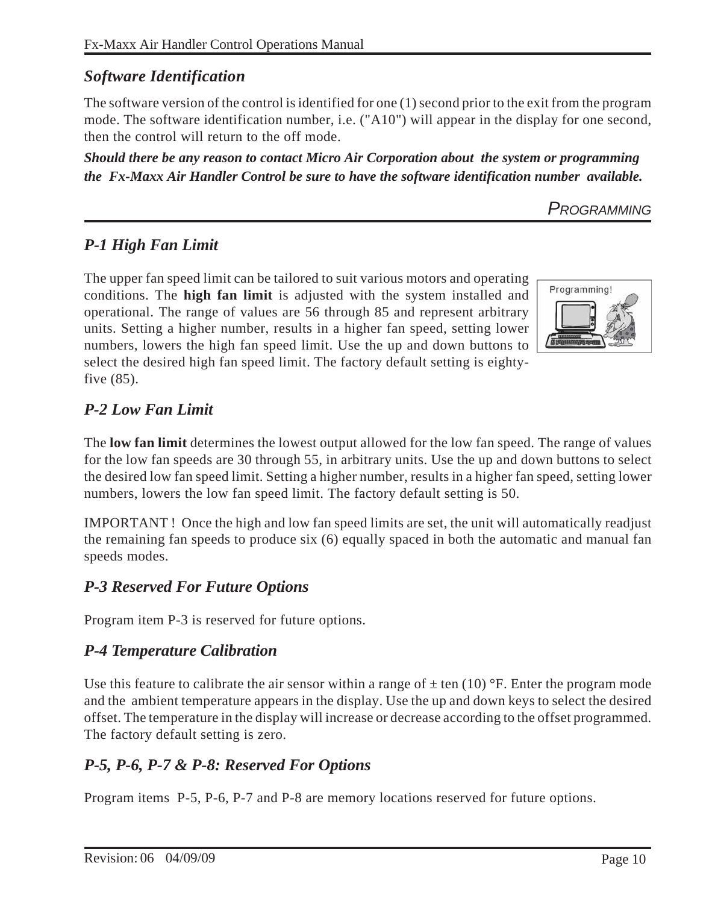# *Software Identification*

The software version of the control is identified for one (1) second prior to the exit from the program mode. The software identification number, i.e. ("A10") will appear in the display for one second, then the control will return to the off mode.

*Should there be any reason to contact Micro Air Corporation about the system or programming the Fx-Maxx Air Handler Control be sure to have the software identification number available.*

*PROGRAMMING*

# *P-1 High Fan Limit*

The upper fan speed limit can be tailored to suit various motors and operating conditions. The **high fan limit** is adjusted with the system installed and operational. The range of values are 56 through 85 and represent arbitrary units. Setting a higher number, results in a higher fan speed, setting lower numbers, lowers the high fan speed limit. Use the up and down buttons to select the desired high fan speed limit. The factory default setting is eightyfive (85).



# *P-2 Low Fan Limit*

The **low fan limit** determines the lowest output allowed for the low fan speed. The range of values for the low fan speeds are 30 through 55, in arbitrary units. Use the up and down buttons to select the desired low fan speed limit. Setting a higher number, results in a higher fan speed, setting lower numbers, lowers the low fan speed limit. The factory default setting is 50.

IMPORTANT ! Once the high and low fan speed limits are set, the unit will automatically readjust the remaining fan speeds to produce six (6) equally spaced in both the automatic and manual fan speeds modes.

# *P-3 Reserved For Future Options*

Program item P-3 is reserved for future options.

# *P-4 Temperature Calibration*

Use this feature to calibrate the air sensor within a range of  $\pm$  ten (10) °F. Enter the program mode and the ambient temperature appears in the display. Use the up and down keys to select the desired offset. The temperature in the display will increase or decrease according to the offset programmed. The factory default setting is zero.

# *P-5, P-6, P-7 & P-8: Reserved For Options*

Program items P-5, P-6, P-7 and P-8 are memory locations reserved for future options.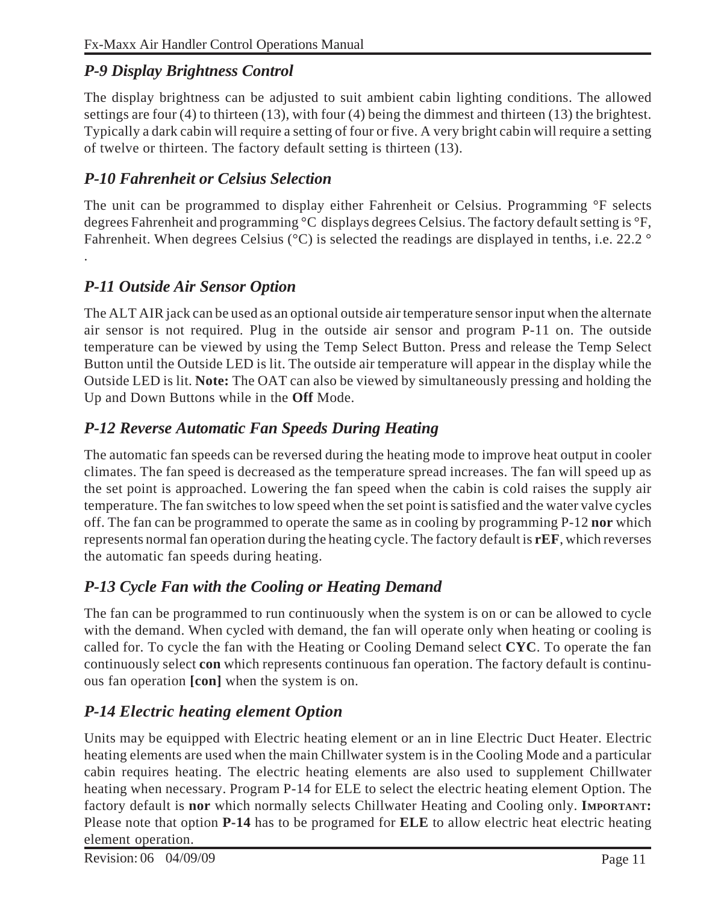# *P-9 Display Brightness Control*

The display brightness can be adjusted to suit ambient cabin lighting conditions. The allowed settings are four (4) to thirteen (13), with four (4) being the dimmest and thirteen (13) the brightest. Typically a dark cabin will require a setting of four or five. A very bright cabin will require a setting of twelve or thirteen. The factory default setting is thirteen (13).

#### *P-10 Fahrenheit or Celsius Selection*

The unit can be programmed to display either Fahrenheit or Celsius. Programming °F selects degrees Fahrenheit and programming °C displays degrees Celsius. The factory default setting is °F, Fahrenheit. When degrees Celsius (°C) is selected the readings are displayed in tenths, i.e. 22.2 °

# *P-11 Outside Air Sensor Option*

.

The ALT AIR jack can be used as an optional outside air temperature sensor input when the alternate air sensor is not required. Plug in the outside air sensor and program P-11 on. The outside temperature can be viewed by using the Temp Select Button. Press and release the Temp Select Button until the Outside LED is lit. The outside air temperature will appear in the display while the Outside LED is lit. **Note:** The OAT can also be viewed by simultaneously pressing and holding the Up and Down Buttons while in the **Off** Mode.

# *P-12 Reverse Automatic Fan Speeds During Heating*

The automatic fan speeds can be reversed during the heating mode to improve heat output in cooler climates. The fan speed is decreased as the temperature spread increases. The fan will speed up as the set point is approached. Lowering the fan speed when the cabin is cold raises the supply air temperature. The fan switches to low speed when the set point is satisfied and the water valve cycles off. The fan can be programmed to operate the same as in cooling by programming P-12 **nor** which represents normal fan operation during the heating cycle. The factory default is **rEF**, which reverses the automatic fan speeds during heating.

# *P-13 Cycle Fan with the Cooling or Heating Demand*

The fan can be programmed to run continuously when the system is on or can be allowed to cycle with the demand. When cycled with demand, the fan will operate only when heating or cooling is called for. To cycle the fan with the Heating or Cooling Demand select **CYC**. To operate the fan continuously select **con** which represents continuous fan operation. The factory default is continuous fan operation **[con]** when the system is on.

# *P-14 Electric heating element Option*

Units may be equipped with Electric heating element or an in line Electric Duct Heater. Electric heating elements are used when the main Chillwater system is in the Cooling Mode and a particular cabin requires heating. The electric heating elements are also used to supplement Chillwater heating when necessary. Program P-14 for ELE to select the electric heating element Option. The factory default is **nor** which normally selects Chillwater Heating and Cooling only. **IMPORTANT:** Please note that option **P-14** has to be programed for **ELE** to allow electric heat electric heating element operation.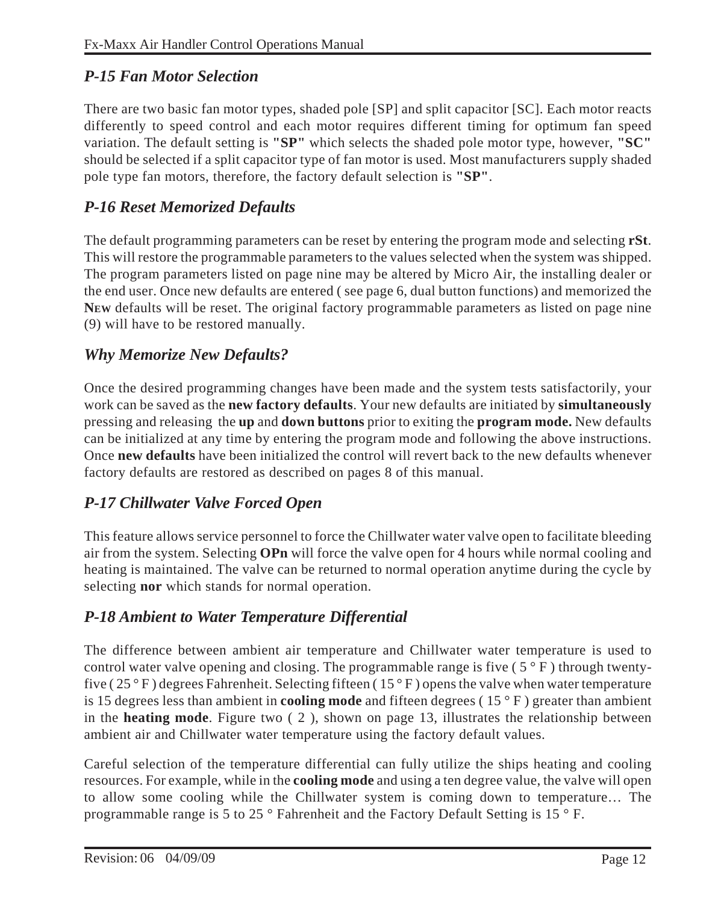# *P-15 Fan Motor Selection*

There are two basic fan motor types, shaded pole [SP] and split capacitor [SC]. Each motor reacts differently to speed control and each motor requires different timing for optimum fan speed variation. The default setting is **"SP"** which selects the shaded pole motor type, however, **"SC"** should be selected if a split capacitor type of fan motor is used. Most manufacturers supply shaded pole type fan motors, therefore, the factory default selection is **"SP"**.

# *P-16 Reset Memorized Defaults*

The default programming parameters can be reset by entering the program mode and selecting **rSt**. This will restore the programmable parameters to the values selected when the system was shipped. The program parameters listed on page nine may be altered by Micro Air, the installing dealer or the end user. Once new defaults are entered ( see page 6, dual button functions) and memorized the **NEW** defaults will be reset. The original factory programmable parameters as listed on page nine (9) will have to be restored manually.

# *Why Memorize New Defaults?*

Once the desired programming changes have been made and the system tests satisfactorily, your work can be saved as the **new factory defaults**. Your new defaults are initiated by **simultaneously** pressing and releasing the **up** and **down buttons** prior to exiting the **program mode.** New defaults can be initialized at any time by entering the program mode and following the above instructions. Once **new defaults** have been initialized the control will revert back to the new defaults whenever factory defaults are restored as described on pages 8 of this manual.

# *P-17 Chillwater Valve Forced Open*

This feature allows service personnel to force the Chillwater water valve open to facilitate bleeding air from the system. Selecting **OPn** will force the valve open for 4 hours while normal cooling and heating is maintained. The valve can be returned to normal operation anytime during the cycle by selecting **nor** which stands for normal operation.

# *P-18 Ambient to Water Temperature Differential*

The difference between ambient air temperature and Chillwater water temperature is used to control water valve opening and closing. The programmable range is five  $(5 \circ F)$  through twentyfive ( $25^{\circ}$  F) degrees Fahrenheit. Selecting fifteen ( $15^{\circ}$  F) opens the valve when water temperature is 15 degrees less than ambient in **cooling mode** and fifteen degrees ( 15 ° F ) greater than ambient in the **heating mode**. Figure two ( 2 ), shown on page 13, illustrates the relationship between ambient air and Chillwater water temperature using the factory default values.

Careful selection of the temperature differential can fully utilize the ships heating and cooling resources. For example, while in the **cooling mode** and using a ten degree value, the valve will open to allow some cooling while the Chillwater system is coming down to temperature… The programmable range is 5 to 25 ° Fahrenheit and the Factory Default Setting is 15 ° F.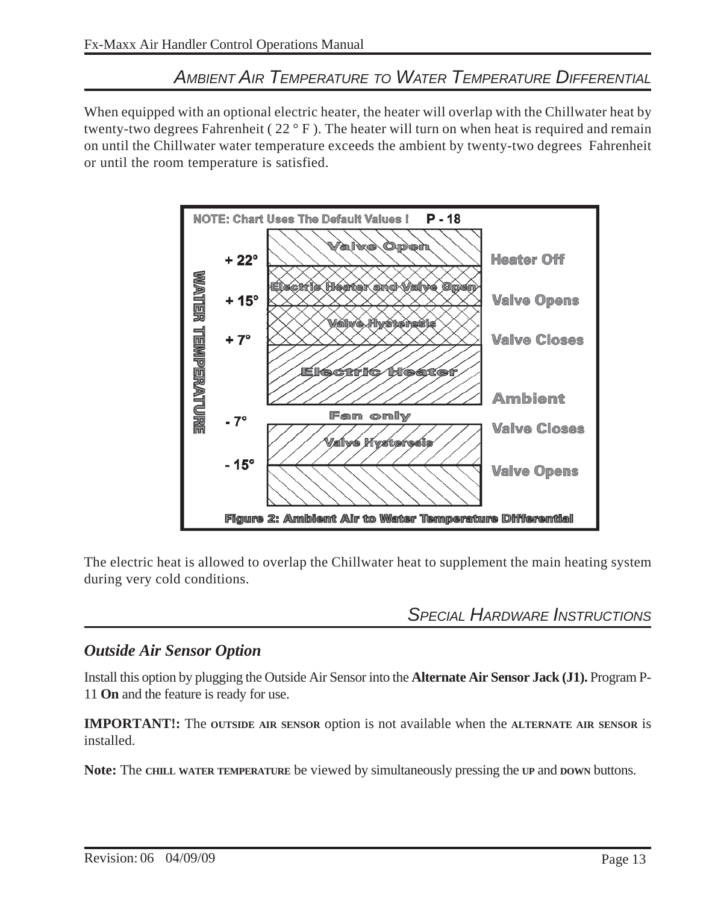# *AMBIENT AIR TEMPERATURE TO WATER TEMPERATURE DIFFERENTIAL*

When equipped with an optional electric heater, the heater will overlap with the Chillwater heat by twenty-two degrees Fahrenheit ( 22 ° F ). The heater will turn on when heat is required and remain on until the Chillwater water temperature exceeds the ambient by twenty-two degrees Fahrenheit or until the room temperature is satisfied.



The electric heat is allowed to overlap the Chillwater heat to supplement the main heating system during very cold conditions.

*SPECIAL HARDWARE INSTRUCTIONS*

#### *Outside Air Sensor Option*

Install this option by plugging the Outside Air Sensor into the **Alternate Air Sensor Jack (J1).** Program P-11 **On** and the feature is ready for use.

**IMPORTANT!:** The **OUTSIDE AIR SENSOR** option is not available when the **ALTERNATE AIR SENSOR** is installed.

**Note:** The **CHILL WATER TEMPERATURE** be viewed by simultaneously pressing the **UP** and **DOWN** buttons.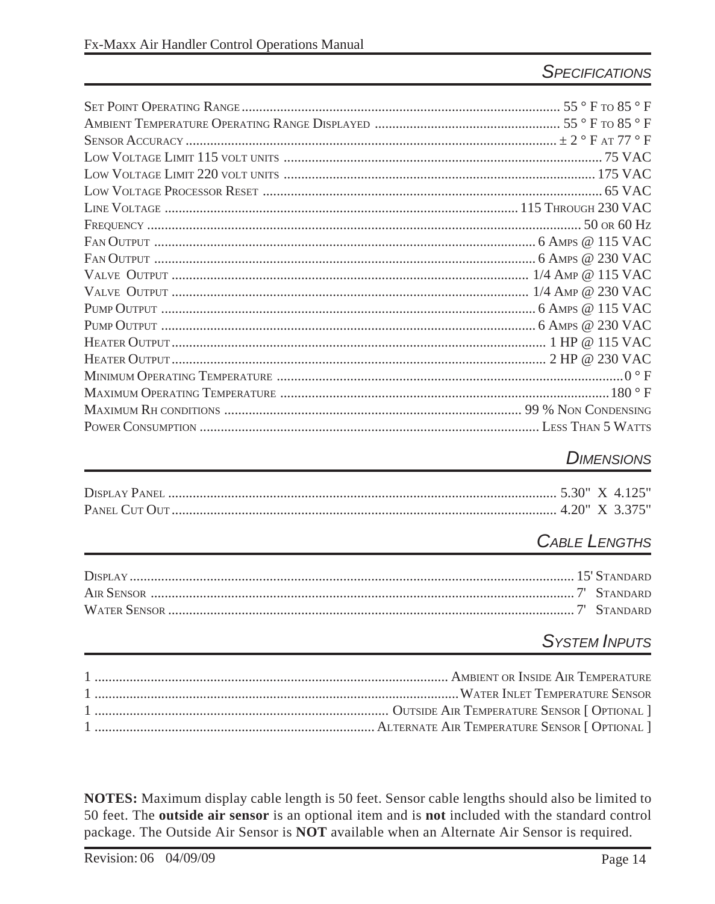# **SPECIFICATIONS**

#### **DIMENSIONS**

# **CABLE LENGTHS**

# **SYSTEM INPUTS**

NOTES: Maximum display cable length is 50 feet. Sensor cable lengths should also be limited to 50 feet. The outside air sensor is an optional item and is not included with the standard control package. The Outside Air Sensor is NOT available when an Alternate Air Sensor is required.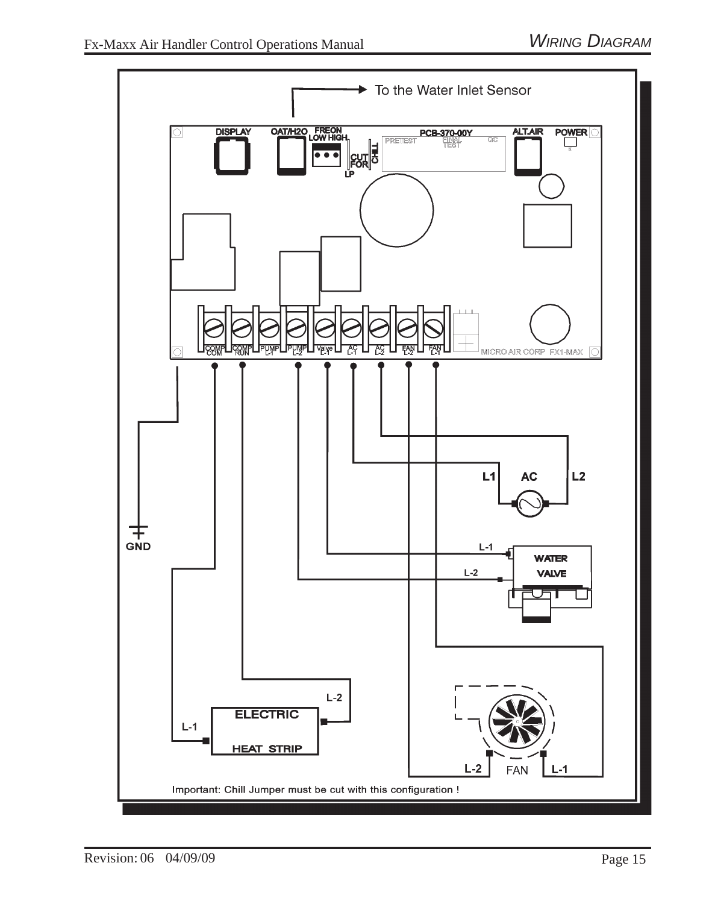